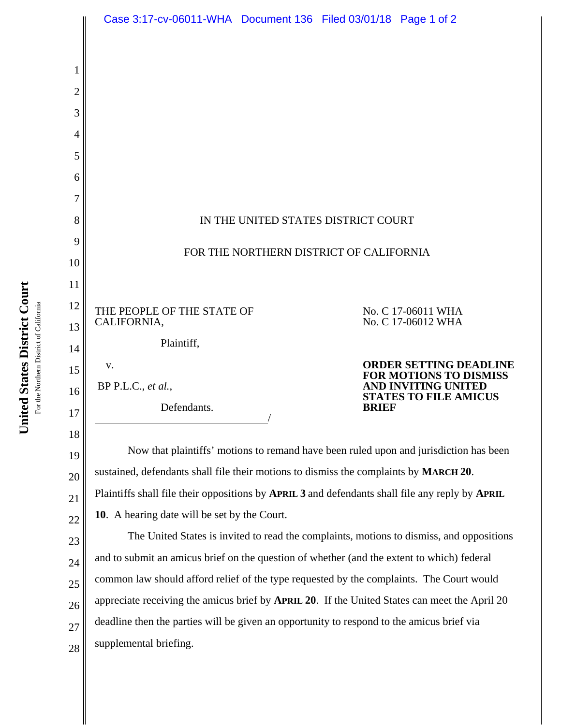|                | Case 3:17-cv-06011-WHA Document 136 Filed 03/01/18 Page 1 of 2                                  |  |  |                                                                |
|----------------|-------------------------------------------------------------------------------------------------|--|--|----------------------------------------------------------------|
|                |                                                                                                 |  |  |                                                                |
| 1              |                                                                                                 |  |  |                                                                |
| $\overline{2}$ |                                                                                                 |  |  |                                                                |
| 3              |                                                                                                 |  |  |                                                                |
| 4              |                                                                                                 |  |  |                                                                |
| 5              |                                                                                                 |  |  |                                                                |
| 6              |                                                                                                 |  |  |                                                                |
| 7              |                                                                                                 |  |  |                                                                |
| 8              | IN THE UNITED STATES DISTRICT COURT                                                             |  |  |                                                                |
| 9              | FOR THE NORTHERN DISTRICT OF CALIFORNIA                                                         |  |  |                                                                |
| 10<br>11       |                                                                                                 |  |  |                                                                |
| 12             |                                                                                                 |  |  |                                                                |
| 13             | THE PEOPLE OF THE STATE OF<br>CALIFORNIA,                                                       |  |  | No. C 17-06011 WHA<br>No. C 17-06012 WHA                       |
| 14             | Plaintiff,                                                                                      |  |  |                                                                |
| 15             | V.                                                                                              |  |  | <b>ORDER SETTING DEADLINE</b><br><b>FOR MOTIONS TO DISMISS</b> |
| 16             | $BP$ P.L.C., et al.,                                                                            |  |  | AND INVITING UNITED<br><b>STATES TO FILE AMICUS</b>            |
| 17             | Defendants.<br><b>BRIEF</b>                                                                     |  |  |                                                                |
| 18             |                                                                                                 |  |  |                                                                |
| 19             | Now that plaintiffs' motions to remand have been ruled upon and jurisdiction has been           |  |  |                                                                |
| 20             | sustained, defendants shall file their motions to dismiss the complaints by MARCH 20.           |  |  |                                                                |
| 21             | Plaintiffs shall file their oppositions by APRIL 3 and defendants shall file any reply by APRIL |  |  |                                                                |
| 22             | 10. A hearing date will be set by the Court.                                                    |  |  |                                                                |

23 24 25 26 27 28 The United States is invited to read the complaints, motions to dismiss, and oppositions and to submit an amicus brief on the question of whether (and the extent to which) federal common law should afford relief of the type requested by the complaints. The Court would appreciate receiving the amicus brief by **APRIL 20**. If the United States can meet the April 20 deadline then the parties will be given an opportunity to respond to the amicus brief via supplemental briefing.